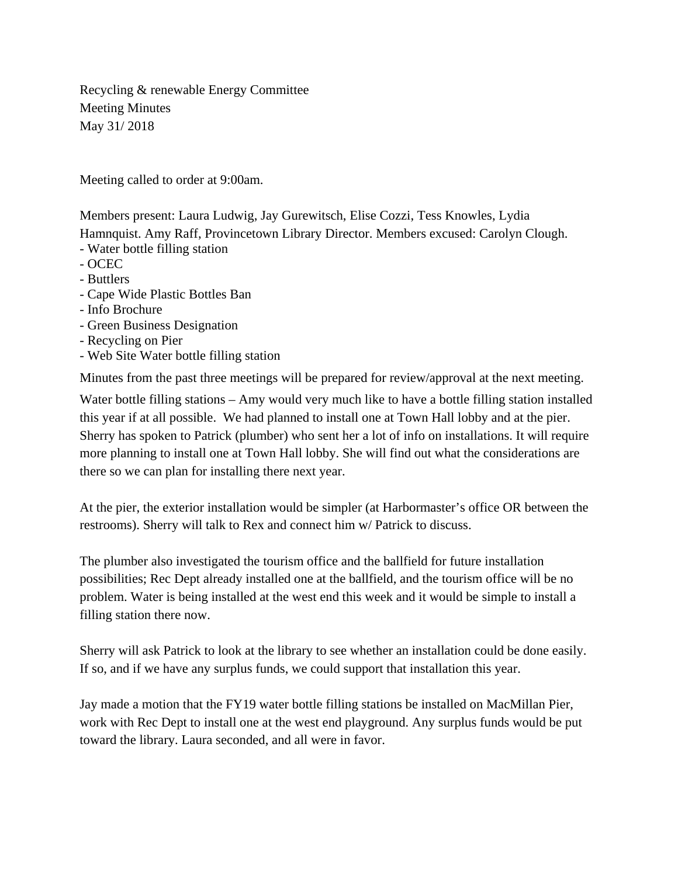Recycling & renewable Energy Committee Meeting Minutes May 31/ 2018

Meeting called to order at 9:00am.

Members present: Laura Ludwig, Jay Gurewitsch, Elise Cozzi, Tess Knowles, Lydia Hamnquist. Amy Raff, Provincetown Library Director. Members excused: Carolyn Clough.

- Water bottle filling station
- OCEC
- Buttlers
- Cape Wide Plastic Bottles Ban
- Info Brochure
- Green Business Designation
- Recycling on Pier
- Web Site Water bottle filling station

Minutes from the past three meetings will be prepared for review/approval at the next meeting.

Water bottle filling stations – Amy would very much like to have a bottle filling station installed this year if at all possible. We had planned to install one at Town Hall lobby and at the pier. Sherry has spoken to Patrick (plumber) who sent her a lot of info on installations. It will require more planning to install one at Town Hall lobby. She will find out what the considerations are there so we can plan for installing there next year.

At the pier, the exterior installation would be simpler (at Harbormaster's office OR between the restrooms). Sherry will talk to Rex and connect him w/ Patrick to discuss.

The plumber also investigated the tourism office and the ballfield for future installation possibilities; Rec Dept already installed one at the ballfield, and the tourism office will be no problem. Water is being installed at the west end this week and it would be simple to install a filling station there now.

Sherry will ask Patrick to look at the library to see whether an installation could be done easily. If so, and if we have any surplus funds, we could support that installation this year.

Jay made a motion that the FY19 water bottle filling stations be installed on MacMillan Pier, work with Rec Dept to install one at the west end playground. Any surplus funds would be put toward the library. Laura seconded, and all were in favor.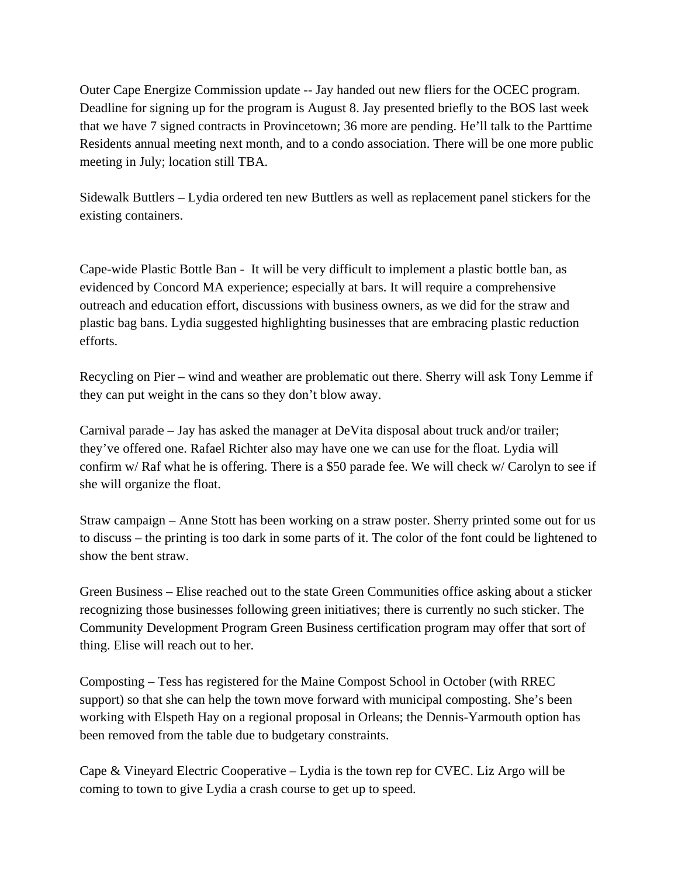Outer Cape Energize Commission update -- Jay handed out new fliers for the OCEC program. Deadline for signing up for the program is August 8. Jay presented briefly to the BOS last week that we have 7 signed contracts in Provincetown; 36 more are pending. He'll talk to the Parttime Residents annual meeting next month, and to a condo association. There will be one more public meeting in July; location still TBA.

Sidewalk Buttlers – Lydia ordered ten new Buttlers as well as replacement panel stickers for the existing containers.

Cape-wide Plastic Bottle Ban - It will be very difficult to implement a plastic bottle ban, as evidenced by Concord MA experience; especially at bars. It will require a comprehensive outreach and education effort, discussions with business owners, as we did for the straw and plastic bag bans. Lydia suggested highlighting businesses that are embracing plastic reduction efforts.

Recycling on Pier – wind and weather are problematic out there. Sherry will ask Tony Lemme if they can put weight in the cans so they don't blow away.

Carnival parade – Jay has asked the manager at DeVita disposal about truck and/or trailer; they've offered one. Rafael Richter also may have one we can use for the float. Lydia will confirm w/ Raf what he is offering. There is a \$50 parade fee. We will check w/ Carolyn to see if she will organize the float.

Straw campaign – Anne Stott has been working on a straw poster. Sherry printed some out for us to discuss – the printing is too dark in some parts of it. The color of the font could be lightened to show the bent straw.

Green Business – Elise reached out to the state Green Communities office asking about a sticker recognizing those businesses following green initiatives; there is currently no such sticker. The Community Development Program Green Business certification program may offer that sort of thing. Elise will reach out to her.

Composting – Tess has registered for the Maine Compost School in October (with RREC support) so that she can help the town move forward with municipal composting. She's been working with Elspeth Hay on a regional proposal in Orleans; the Dennis-Yarmouth option has been removed from the table due to budgetary constraints.

Cape & Vineyard Electric Cooperative – Lydia is the town rep for CVEC. Liz Argo will be coming to town to give Lydia a crash course to get up to speed.